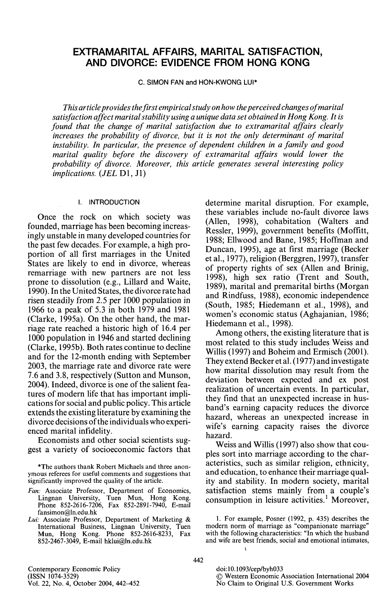# EXTRAMARITAL AFFAIRS, MARITAL SATISFACTION, AND DIVORCE: EVIDENCE FROM HONG KONG

C. SIMON FAN and HON-KWONG LUI\*

*This article provides the first empirical study on how the perceived changes of marital satisfaction affect marital stability using a unique data set obtained in Hong Kong. It is found that the change of marital satisfaction due to extramarital affairs clearly increases the probability of divorce, but it is not the only determinant of marital instability. In particular, the presence of dependent children in a family and good marital quality before the discovery of extramarital affairs would lower the probability of divorce. Moreover, this article generates several interesting policy implications. (JEL* Dl, Jl)

#### I. INTRODUCTION

Once the rock on which society was founded, marriage has been becoming increasingly unstable in many developed countries for the past few decades. For example, a high proportion of all first marriages in the United States are likely to end in divorce, whereas remarriage with new partners are not less prone to dissolution (e.g., Lillard and Waite, 1990). In the United States, the divorce rate had risen steadily from 2.5 per 1000 population in 1966 to a peak of 5.3 in both 1979 and 1981 (Clarke, 1995a). On the other hand, the marriage rate reached a historic high of 16.4 per 1000 population in 1946 and started declining (Clarke, 1995b). Both rates continue to decline and for the 12-month ending with September 2003, the marriage rate and divorce rate were 7.6 and 3.8, respectively (Sutton and Munson, 2004). Indeed, divorce is one of the salient features of modern life that has important implications for social and public policy. This article extends the existing literature by examining the divorce decisions of the individuals who experienced marital infidelity.

Economists and other social scientists suggest a variety of socioeconomic factors that

\*The authors thank Robert Michaels and three anonymous referees for useful comments and suggestions that significantly improved the quality of the article.

*Fan:* Associate Professor, Department of Economics, Lingnan University, Tuen Mun, Hong Kong. Phone 852-2616-7206, Fax 852-2891-7940, E-mail fansimon@ln.edu.hk

*Lui:* Associate Professor, Department of Marketing & International Business, Lingnan University, Tuen Mun, Hong Kong. Phone 852-2616-8233, Fax 852-2467-3049, E-mail hklui@ln.edu.hk

determine marital disruption. For example, these variables include no-fault divorce laws (Allen, 1998), cohabitation (Walters and Ressler, 1999), government benefits (Moffitt, 1988; Ellwood and Bane, 1985; Hoffman and Duncan, 1995), age at first marriage (Becker et al., 1977), religion (Berggren, 1997), transfer of property rights of sex (Allen and Brinig, 1998), high sex ratio (Trent and South, 1989), marital and premarital births (Morgan and Rindfuss, 1988), economic independence (South, 1985; Hiedemann et al., 1998), and women's economic status (Aghajanian, 1986; Hiedemann et al., 1998).

Among others, the existing literature that is most related to this study includes Weiss and Willis (1997) and Boheim and Ermisch (2001). They extend Becker et al. (1977) and investigate how marital dissolution may result from the deviation between expected and ex post realization of uncertain events. In particular, they find that an unexpected increase in husband's earning capacity reduces the divorce hazard, whereas an unexpected increase in wife's earning capacity raises the divorce hazard.

Weiss and Willis (1997) also show that couples sort into marriage according to the characteristics, such as similar religion, ethnicity, and education, to enhance their marriage quality and stability. In modern society, marital satisfaction stems mainly from a couple's consumption in leisure activities.' Moreover,

<sup>1.</sup> For example, Posner (1992, p. 435) describes the modem norm of marriage as "companionate marriage" with the following characteristics: "In which the husband and wife are best friends, social and emotional intimates,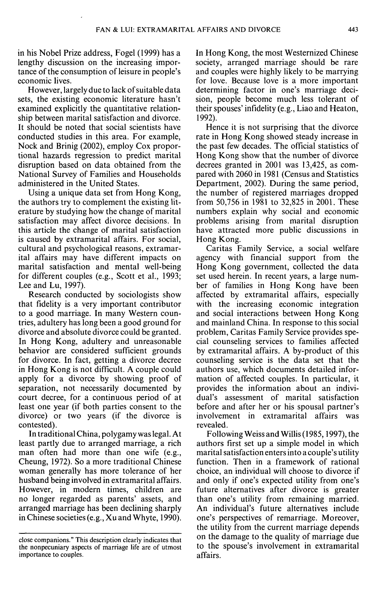in his Nobel Prize address, Fogel (1999) has a lengthy discussion on the increasing importance of the consumption of leisure in people's economic lives.

However, largely due to lack of suitable data sets, the existing economic literature hasn't examined explicitly the quantitative relationship between marital satisfaction and divorce. It should be noted that social scientists have conducted studies in this area. For example. Nock and Brinig (2002), employ Cox proportional hazards regression to predict marital disruption based on data obtained from the National Survey of Families and Households administered in the United States.

Using a unique data set from Hong Kong, the authors try to complement the existing literature by studying how the change of marital satisfaction may affect divorce decisions. In this article the change of marital satisfaction is caused by extramarital affairs. For social, cultural and psychological reasons, extramarital affairs may have different impacts on marital satisfaction and mental well-being for different couples (e.g., Scott et al., 1993; Lee and Lu, 1997).

Research conducted by sociologists show that fidelity is a very important contributor to a good marriage. In many Western countries, adultery has long been a good ground for divorce and absolute divorce could be granted. In Hong Kong, adultery and unreasonable behavior are considered sufficient grounds for divorce. In fact, getting a divorce decree in Hong Kong is not difficult. A couple could apply for a divorce by showing proof of separation, not necessarily documented by court decree, for a continuous period of at least one year (if both parties consent to the divorce) or two years (if the divorce is contested).

In traditional China, polygamy was legal. At least partly due to arranged marriage, a rich man often had more than one wife (e.g., Cheung, 1972). So a more traditional Chinese woman generally has more tolerance of her husband being involved in extramarital affairs. However, in modern times, children are no longer regarded as parents' assets, and arranged marriage has been declining sharply in Chinese societies (e.g., Xu and Whyte, 1990).

In Hong Kong, the most Westernized Chinese society, arranged marriage should be rare and couples were highly likely to be marrying for love. Because love is a more important determining factor in one's marriage decision, people become much less tolerant of their spouses' infidelity (e.g., Liao and Heaton, 1992).

Hence it is not surprising that the divorce rate in Hong Kong showed steady increase in the past few decades. The official statistics of Hong Kong show that the number of divorce decrees granted in 2001 was 13,425, as compared with 2060 in 1981 (Census and Statistics Department, 2002). During the same period, the number of registered marriages dropped from 50,756 in 1981 to 32,825 in 2001. These numbers explain why social and economic problems arising from marital disruption have attracted more public discussions in Hong Kong.

Caritas Family Service, a social welfare agency with financial support from the Hong Kong government, collected the data set used herein. In recent years, a large number of families in Hong Kong have been affected by extramarital affairs, especially with the increasing economic integration and social interactions between Hong Kong and mainland China. In response to this social problem, Caritas Family Service provides special counseling services to families affected by extramarital affairs. A by-product of this counseling service is the data set that the authors use, which documents detailed information of affected couples. In particular, it provides the information about an individual's assessment of marital satisfaction before and after her or his spousal partner's involvement in extramarital affairs was revealed.

Following Weiss and Willis (1985,1997), the authors first set up a simple model in which marital satisfaction enters into a couple's utility function. Then in a framework of rational choice, an individual will choose to divorce if and only if one's expected utility from one's future alternatives after divorce is greater than one's utility from remaining married. An individual's future alternatives include one's perspectives of remarriage. Moreover, the utility from the current marriage depends on the damage to the quality of marriage due to the spouse's involvement in extramarital affairs.

close companions." This description clearly indicates that the nonpecuniary aspects of marriage life are of utmost importance to couples.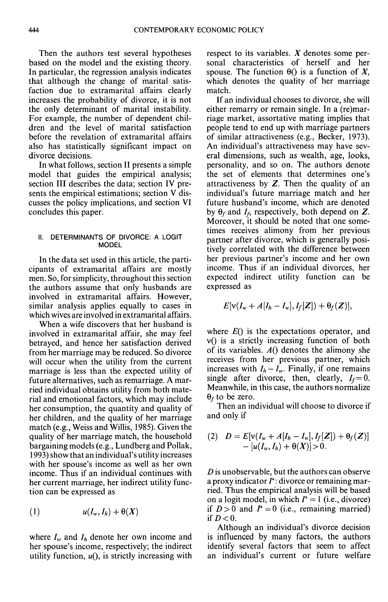Then the authors test several hypotheses based on the model and the existing theory. In particular, the regression analysis indicates that although the change of marital satisfaction due to extramarital affairs clearly increases the probability of divorce, it is not the only determinant of marital instability. For example, the number of dependent children and the level of marital satisfaction before the revelation of extramarital affairs also has statistically significant impact on divorce decisions.

In what follows, section II presents a simple model that guides the empirical analysis; section III describes the data; section IV presents the empirical estimations; section V discusses the policy implications, and section VI concludes this paper.

#### II. DETERMINANTS OF DIVORCE; A LOGIT MODEL

In the data set used in this article, the participants of extramarital affairs are mostly men. So, for simplicity, throughout this section the authors assume that only husbands are involved in extramarital affairs. However, similar analysis applies equally to cases in which wives are involved in extramarital affairs.

When a wife discovers that her husband is involved in extramarital affair, she may feel betrayed, and hence her satisfaction derived from her marriage may be reduced. So divorce will occur when the utility from the current marriage is less than the expected utility of future alternatives, such as remarriage. A married individual obtains utility from both material and emotional factors, which may include her consumption, the quantity and quality of her children, and the quality of her marriage match (e.g., Weiss and Willis, 1985). Given the quality of her marriage match, the household bargaining models (e.g., Lundberg and Pollak, 1993) show that an individual's utility increases with her spouse's income as well as her own income. Thus if an individual continues with her current marriage, her indirect utility function can be expressed as

$$
(1) \t u(I_w, I_h) + \Theta(X)
$$

where  $I_w$  and  $I_h$  denote her own income and her spouse's income, respectively; the indirect utility function,  $u($ ), is strictly increasing with respect to its variables. *X* denotes some personal characteristics of herself and her spouse. The function  $\theta$ () is a function of X, which denotes the quality of her marriage match.

If an individual chooses to divorce, she will either remarry or remain single. In a (re)marriage market, assortative mating implies that people tend to end up with marriage partners of similar attractiveness (e.g., Becker, 1973). An individual's attractiveness may have several dimensions, such as wealth, age, looks, personality, and so on. The authors denote the set of elements that determines one's attractiveness by *Z.* Then the quality of an individual's future marriage match and her future husband's income, which are denoted by  $\theta_f$  and  $I_f$ , respectively, both depend on Z. Moreover, it should be noted that one sometimes receives alimony from her previous partner after divorce, which is generally positively correlated with the difference between her previous partner's income and her own income. Thus if an individual divorces, her expected indirect utility function can be expressed as

$$
E[v(I_w+A[I_h-I_w],I_f[\boldsymbol{Z}])+\theta_f(\boldsymbol{Z})],
$$

where *EQ* is the expectations operator, and  $v()$  is a strictly increasing function of both of its variables.  $A()$  denotes the alimony she receives from her previous partner, which increases with  $I_h - I_w$ . Finally, if one remains single after divorce, then, clearly,  $I_f=0$ . Meanwhile, in this case, the authors normalize  $\theta_f$  to be zero.

Then an individual will choose to divorce if and only if

(2) 
$$
D = E[v(I_w + A[I_h - I_w], I_f[\mathbf{Z}]) + \theta_f(\mathbf{Z})] - [u(I_w, I_h) + \theta(X)] > 0.
$$

*D* is unobservable, but the authors can observe a proxy indicator  $I^*$ : divorce or remaining married. Thus the empirical analysis will be based on a logit model, in which  $I^* = 1$  (i.e., divorce) if  $D>0$  and  $I^*=0$  (i.e., remaining married) if  $D<0$ .

Although an individual's divorce decision is influenced by many factors, the authors identify several factors that seem to affect an individual's current or future welfare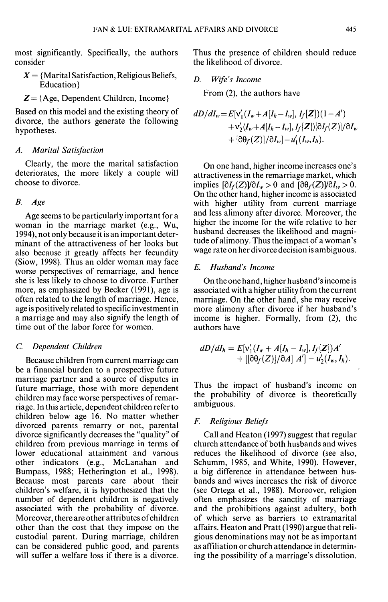most significantly. Specifically, the authors consider

- $X = \{$ Marital Satisfaction, Religious Beliefs, Education}
- *Z—* {Age, Dependent Children, Income}

Based on this model and the existing theory of divorce, the authors generate the following hypotheses.

### *A. Marital Satisfaction*

Clearly, the more the marital satisfaction deteriorates, the more likely a couple will choose to divorce.

## *B. Age*

Age seems to be particularly important for a woman in the marriage market (e.g., Wu, 1994), not only because it is an important determinant of the attractiveness of her looks but also because it greatly affects her fecundity (Siow, 1998). Thus an older woman may face worse perspectives of remarriage, and hence she is less likely to choose to divorce. Further more, as emphasized by Becker (1991), age is often related to the length of marriage. Hence, age is positively related to specific investment in a marriage and may also signify the length of time out of the labor force for women.

### C *Dependent Children*

Because children from current marriage can be a financial burden to a prospective future marriage partner and a source of disputes in future marriage, those with more dependent children may face worse perspectives of remarriage. In this article, dependent children refer to children below age 16. No matter whether divorced parents remarry or not, parental divorce significantly decreases the "quality" of children from previous marriage in terms of lower educational attainment and various other indicators (e.g., McLanahan and Bumpass, 1988; Hetherington et al., 1998). Because most parents care about their children's welfare, it is hypothesized that the number of dependent children is negatively associated with the probability of divorce. Moreover, there are other attributes of children other than the cost that they impose on the custodial parent. During marriage, children can be considered public good, and parents will suffer a welfare loss if there is a divorce. Thus the presence of children should reduce the likelihood of divorce.

*D. Wife's Income*

From (2), the authors have

$$
dD/dI_w = E[v'_1(I_w + A[I_h - I_w], I_f[Z])(1 - A')+ v'_2(I_w + A[I_h - I_w], I_f[Z])[\partial I_f(Z)]/\partial I_w+ [\partial \theta_f(Z)]/\partial I_w] - u'_1(I_w, I_h).
$$

On one hand, higher income increases one's attractiveness in the remarriage market, which implies  $\left[\partial I_f(Z)/\partial I_w > 0 \right]$  and  $\left[\partial \theta_f(Z)/\partial I_w > 0 \right]$ . On the other hand, higher income is associated with higher utility from current marriage and less alimony after divorce. Moreover, the higher the income for the wife relative to her husband decreases the likelihood and magnitude of alimony. Thus the impact of a woman's wage rate on her divorce decision is ambiguous.

# *E. Husband's Income*

On the one hand, higher husband's income is associated with a higher utility from the current marriage. On the other hand, she may receive more alimony after divorce if her husband's income is higher. Formally, from (2), the authors have

$$
dD/dI_h = E[v'_1(I_w + A[I_h - I_w], I_f[Z])A'+ [[\partial \theta_f(Z)]/\partial A] A'] - u'_2(I_w, I_h).
$$

Thus the impact of husband's income on the probability of divorce is theoretically ambiguous.

## *F. Religious Beliefs*

Call and Heaton (1997) suggest that regular church attendance of both husbands and wives reduces the likelihood of divorce (see also, Schumm, 1985, and White, 1990). However, a big difference in attendance between husbands and wives increases the risk of divorce (see Ortega et al., 1988). Moreover, religion often emphasizes the sanctity of marriage and the prohibitions against adultery, both of which serve as barriers to extramarital affairs. Heaton and Pratt (1990) argue that religious denominations may not be as important as affiliation or church attendance in determining the possibility of a marriage's dissolution.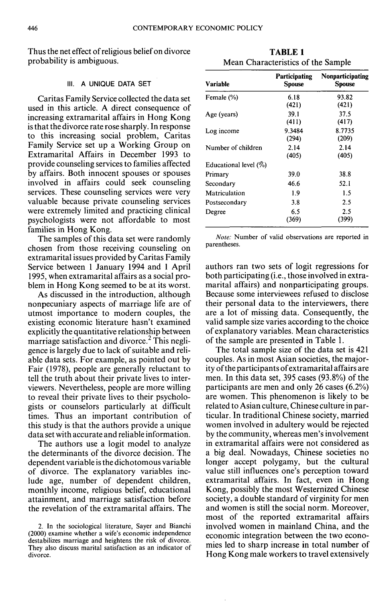Thus the net effect of religious belief on divorce probability is ambiguous.

# III. A UNIQUE DATA SET

Caritas Family Service collected the data set used in this article. A direct consequence of increasing extramarital affairs in Hong Kong is that the divorce rate rose sharply. In response to this increasing social problem, Caritas Family Service set up a Working Group on Extramarital Affairs in December 1993 to provide counseling services to families affected by affairs. Both innocent spouses or spouses involved in affairs could seek counseling services. These counseling services were very valuable because private counseling services were extremely limited and practicing clinical psychologists were not affordable to most families in Hong Kong.

The samples of this data set were randomly chosen from those receiving counseling on extramarital issues provided by Caritas Family Service between 1 January 1994 and 1 April 1995, when extramarital affairs as a social problem in Hong Kong seemed to be at its worst.

As discussed in the introduction, although nonpecuniary aspects of marriage life are of utmost importance to modern couples, the existing economic literature hasn't examined explicitly the quantitative relationship between marriage satisfaction and divorce.<sup>2</sup> This negligence is largely due to lack of suitable and reliable data sets. For example, as pointed out by Fair (1978), people are generally reluctant to tell the truth about their private lives to interviewers. Nevertheless, people are more willing to reveal their private lives to their psychologists or counselors particularly at difficult times. Thus an important contribution of this study is that the authors provide a unique data set with accurate and reliable information.

The authors use a logit model to analyze the determinants of the divorce decision. The dependent variable is the dichotomous variable of divorce. The explanatory variables include age, number of dependent children, monthly income, religious belief, educational attainment, and marriage satisfaction before the revelation of the extramarital affairs. The

| Variable                 | <b>Participating</b><br><b>Spouse</b> | Nonparticipating<br><b>Spouse</b> |
|--------------------------|---------------------------------------|-----------------------------------|
| Female (%)               | 6.18<br>(421)                         | 93.82<br>(421)                    |
| Age (years)              | 39.1<br>(411)                         | 37.5<br>(417)                     |
| Log income               | 9.3484<br>(294)                       | 8.7735<br>(209)                   |
| Number of children       | 2.14<br>(405)                         | 2.14<br>(405)                     |
| Educational level $(\%)$ |                                       |                                   |
| Primary                  | 39.0                                  | 38.8                              |
| Secondary                | 46.6                                  | 52.1                              |
| Matriculation            | 1.9                                   | 1.5                               |
| Postsecondary            | 3.8                                   | 2.5                               |
| Degree                   | 6.5<br>(369)                          | 2.5<br>(399)                      |

*Note:* Number of valid observations are reported in parentheses.

authors ran two sets of logit regressions for both participating (i.e., those involved in extramarital affairs) and nonparticipating groups. Because some interviewees refused to disclose their personal data to the interviewers, there are a lot of missing data. Consequently, the valid sample size varies according to the choice of explanatory variables. Mean characteristics of the sample are presented in Table 1.

The total sample size of the data set is 421 couples. As in most Asian societies, the majority of the participants of extramarital affairs are men. In this data set, 395 cases (93.8%) of the participants are men and only 26 cases (6.2%) are women. This phenomenon is likely to be related to Asian culture, Chinese culture in particular. In traditional Chinese society, married women involved in adultery would be rejected by the community, whereas men's involvement in extramarital affairs were not considered as a big deal. Nowadays, Chinese societies no longer accept polygamy, but the cultural value still influences one's perception toward extramarital affairs. In fact, even in Hong Kong, possibly the most Westernized Chinese society, a double standard of virginity for men and women is still the social norm. Moreover, most of the reported extramarital affairs involved women in mainland China, and the economic integration between the two economies led to sharp increase in total number of Hong Kong male workers to travel extensively

**TABLE 1** Mean Characteristics of the Sample

<sup>2.</sup> In the sociological literature, Sayer and Bianchi (2000) examine whether a wife's economic independence destabilizes marriage and heightens the risk of divorce. They also discuss marital satisfaction as an indicator of divorce.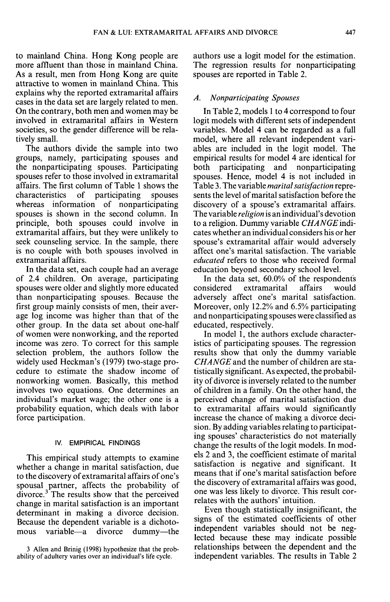to mainland China, Hong Kong people are more affluent than those in mainland China. As a result, men from Hong Kong are quite attractive to women in mainland China. This explains why the reported extramarital affairs cases in the data set are largely related to men. On the contrary, both men and women may be involved in extramarital affairs in Western societies, so the gender difference will be relatively small.

The authors divide the sample into two groups, namely, participating spouses and the nonparticipating spouses. Participating spouses refer to those involved in extramarital affairs. The first column of Table 1 shows the characteristics of participating spouses whereas information of nonparticipating spouses is shown in the second column. In principle, both spouses could involve in extramarital affairs, but they were unlikely to seek counseling service. In the sample, there is no couple with both spouses involved in extramarital affairs.

In the data set, each couple had an average of 2.4 children. On average, participating spouses were older and slightly more educated than nonparticipating spouses. Because the first group mainly consists of men, their average log income was higher than that of the other group. In the data set about one-half of women were nonworking, and the reported income was zero. To correct for this sample selection problem, the authors follow the widely used Heckman's (1979) two-stage procedure to estimate the shadow income of nonworking women. Basically, this method involves two equations. One determines an individual's market wage; the other one is a probability equation, which deals with labor force participation,

## IV. EMPIRICAL FINDINGS

This empirical study attempts to examine whether a change in marital satisfaction, due to the discovery of extramarital affairs of one's spousal partner, affects the probability of  $divorce<sup>3</sup>$ . The results show that the perceived change in marital satisfaction is an important determinant in making a divorce decision. Because the dependent variable is a dichotomous variable—a divorce dummy—the authors use a logit model for the estimation. The regression results for nonparticipating spouses are reported in Table 2.

### *A. Nonparticipating Spouses*

In Table 2, models 1 to 4 correspond to four logit models with different sets of independent variables. Model 4 can be regarded as a full model, where all relevant independent variables are included in the logit model. The empirical results for model 4 are identical for both participating and nonparticipating spouses. Hence, model 4 is not included in Table 3, The variable *marital satisfaction* represents the level of marital satisfaction before the discovery of a spouse's extramarital affairs. The variable *religion* is an individual's devotion to a religion. Dummy variable *CHANGE* indicates whether an individual considers his or her spouse's extramarital affair would adversely affect one's marital satisfaction. The variable *educated* refers to those who received formal education beyond secondary school level.

In the data set, 60.0% of the respondents<br>considered extramarital affairs would extramarital adversely affect one's marital satisfaction. Moreover, only 12.2% and 6,5% participating and nonparticipating spouses were classified as educated, respectively.

In model 1, the authors exclude characteristics of participating spouses. The regression results show that only the dummy variable *CHANGE* and the number of children are statistically significant. As expected, the probability of divorce is inversely related to the number of children in a family. On the other hand, the perceived change of marital satisfaction due to extramarital affairs would significantly increase the chance of making a divorce decision. By adding variables relating to participating spouses' characteristics do not materially change the results of the logit models. In models 2 and 3, the coefficient estimate of marital satisfaction is negative and significant. It means that if one's marital satisfaction before the discovery of extramarital affairs was good, one was less likely to divorce. This result correlates with the authors' intuition.

Even though statistically insignificant, the signs of the estimated coefficients of other independent variables should not be neglected because these may indicate possible relationships between the dependent and the independent variables. The results in Table 2

<sup>3</sup> Allen and Brinig (1998) hypothesize that the probability of adultery varies over an individual's life cycle.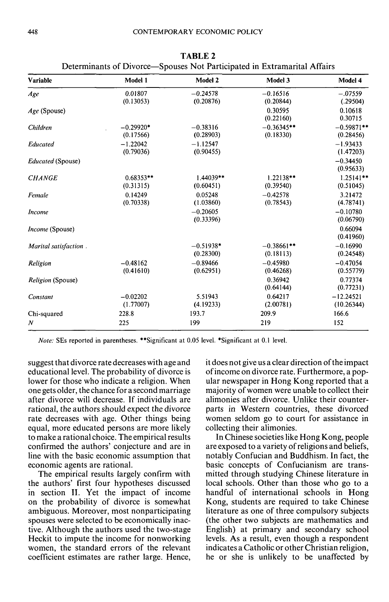| Determinants of Divorce—Spouses Not Participated in Extramarital Affairs |                          |                          |                           |                            |  |
|--------------------------------------------------------------------------|--------------------------|--------------------------|---------------------------|----------------------------|--|
| <b>Variable</b>                                                          | Model 1                  | Model 2                  | Model 3                   | Model 4                    |  |
| Age                                                                      | 0.01807<br>(0.13053)     | $-0.24578$<br>(0.20876)  | $-0.16516$<br>(0.20844)   | $-.07559$<br>(.29504)      |  |
| Age (Spouse)                                                             |                          |                          | 0.30595<br>(0.22160)      | 0.10618<br>0.30715         |  |
| Children                                                                 | $-0.29920*$<br>(0.17566) | $-0.38316$<br>(0.28903)  | $-0.36345**$<br>(0.18330) | $-0.59871$ **<br>(0.28456) |  |
| Educated                                                                 | $-1.22042$<br>(0.79036)  | $-1.12547$<br>(0.90455)  |                           | $-1.93433$<br>(1.47203)    |  |
| Educated (Spouse)                                                        |                          |                          |                           | $-0.34450$<br>(0.95633)    |  |
| <b>CHANGE</b>                                                            | $0.68353**$<br>(0.31315) | 1.44039**<br>(0.60451)   | $1.22138**$<br>(0.39540)  | $1.25141**$<br>(0.51045)   |  |
| Female                                                                   | 0.14249<br>(0.70338)     | 0.05248<br>(1.03860)     | $-0.42578$<br>(0.78543)   | 3.21472<br>(4.78741)       |  |
| <i>Income</i>                                                            |                          | $-0.20605$<br>(0.33396)  |                           | $-0.10780$<br>(0.06790)    |  |
| <i>Income</i> (Spouse)                                                   |                          |                          |                           | 0.66094<br>(0.41960)       |  |
| Marital satisfaction.                                                    |                          | $-0.51938*$<br>(0.28300) | $-0.38661**$<br>(0.18113) | $-0.16990$<br>(0.24548)    |  |
| Religion                                                                 | $-0.48162$<br>(0.41610)  | $-0.89466$<br>(0.62951)  | $-0.45980$<br>(0.46268)   | $-0.47054$<br>(0.55779)    |  |
| Religion (Spouse)                                                        |                          |                          | 0.36942<br>(0.64144)      | 0.77374<br>(0.77231)       |  |
| Constant                                                                 | $-0.02202$<br>(1.77007)  | 5.51943<br>(4.19233)     | 0.64217<br>(2.00781)      | $-12.24521$<br>(10.26344)  |  |
| Chi-squared                                                              | 228.8                    | 193.7                    | 209.9                     | 166.6                      |  |
| $\boldsymbol{N}$                                                         | 225                      | 199                      | 219                       | 152                        |  |

**TABLE 2**

*Note:* SEs reported in parentheses. \*\*Significant at 0.05 level. \*Significant at 0.1 level.

suggest that divorce rate decreases with age and educational level. The probability of divorce is lower for those who indicate a religion. When one gets older, the chance for a second marriage after divorce will decrease. If individuals are rational, the authors should expect the divorce rate decreases with age. Other things being equal, more educated persons are more likely to make a rational choice. The empirical results confirmed the authors' conjecture and are in line with the basic economic assumption that economic agents are rational.

The empirical results largely confirm with the authors' first four hypotheses discussed in section II. Yet the impact of income on the probability of divorce is somewhat ambiguous. Moreover, most nonparticipating spouses were selected to be economically inactive. Although the authors used the two-stage Heckit to impute the income for nonworking women, the standard errors of the relevant coefficient estimates are rather large. Hence,

it does not give us a clear direction of the impact of income on divorce rate. Furthermore, a popular newspaper in Hong Kong reported that a majority of women were unable to collect their alimonies after divorce. Unlike their counterparts in Western countries, these divorced women seldom go to court for assistance in collecting their alimonies.

In Chinese societies like Hong Kong, people are exposed to a variety of religions and beliefs, notably Confucian and Buddhism. In fact, the basic concepts of Confucianism are transmitted through studying Chinese literature in local schools. Other than those who go to a handful of international schools in Hong Kong, students are required to take Chinese literature as one of three compulsory subjects (the other two subjects are mathematics and English) at primary and secondary school levels. As a result, even though a respondent indicates a Catholic or other Christian religion, he or she is unlikely to be unaffected by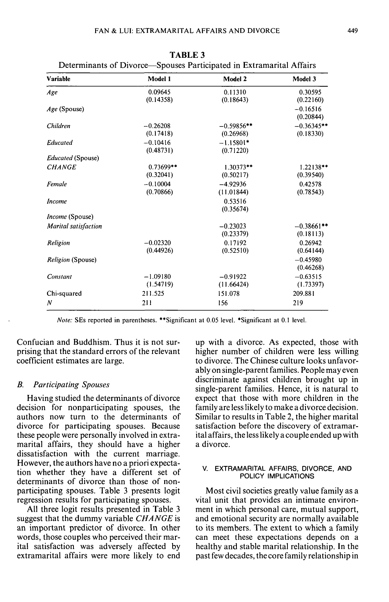| Variable                    | Model 1                 | Model 2                   | Model 3                   |
|-----------------------------|-------------------------|---------------------------|---------------------------|
| Age                         | 0.09645<br>(0.14358)    | 0.11310<br>(0.18643)      | 0.30595<br>(0.22160)      |
| Age (Spouse)                |                         |                           | $-0.16516$<br>(0.20844)   |
| Children                    | $-0.26208$<br>(0.17418) | $-0.59856**$<br>(0.26968) | $-0.36345**$<br>(0.18330) |
| Educated                    | $-0.10416$<br>(0.48731) | $-1.15801*$<br>(0.71220)  |                           |
| Educated (Spouse)           |                         |                           |                           |
| <b>CHANGE</b>               | 0.73699**<br>(0.32041)  | $1.30373**$<br>(0.50217)  | $1.22138**$<br>(0.39540)  |
| Female                      | $-0.10004$<br>(0.70866) | $-4.92936$<br>(11.01844)  | 0.42578<br>(0.78543)      |
| <b>Income</b>               |                         | 0.53516<br>(0.35674)      |                           |
| <i>Income</i> (Spouse)      |                         |                           |                           |
| <b>Marital satisfaction</b> |                         | $-0.23023$<br>(0.23379)   | $-0.38661**$<br>(0.18113) |
| Religion                    | $-0.02320$<br>(0.44926) | 0.17192<br>(0.52510)      | 0.26942<br>(0.64144)      |
| <i>Religion</i> (Spouse)    |                         |                           | $-0.45980$<br>(0.46268)   |
| Constant                    | $-1.09180$<br>(1.54719) | $-0.91922$<br>(11.66424)  | $-0.63515$<br>(1.73397)   |
| Chi-squared                 | 211.525                 | 151.078                   | 209.881                   |
| N                           | 211                     | 156                       | 219                       |

**TABLE 3** Determinants of Divorce—Spouses Participated in Extramarital Affairs

*Note:* SEs reported in parentheses. \*\*Significant at 0.05 level. \*Significant at 0.1 level.

Confucian and Buddhism. Thus it is not surprising that the standard errors of the relevant coefficient estimates are large.

# *B. Participating Spouses*

Having studied the determinants of divorce decision for nonparticipating spouses, the authors now turn to the determinants of divorce for participating spouses. Because these people were personally involved in extramarital affairs, they should have a higher dissatisfaction with the current marriage. However, the authors have no a priori expectation whether they have a different set of determinants of divorce than those of nonparticipating spouses. Table 3 presents logit regression results for participating spouses.

All three logit results presented in Table 3 suggest that the dummy variable *CHANGE* is an important predictor of divorce. In other words, those couples who perceived their marital satisfaction was adversely affected by extramarital affairs were more likely to end

up with a divorce. As expected, those with higher number of children were less willing to divorce. The Chinese culture looks unfavorably on single-parent families. People may even discriminate against children brought up in single-parent families. Hence, it is natural to expect that those with more children in the family are less likely to make a divorce decision. Similar to results in Table 2, the higher marital satisfaction before the discovery of extramarital affairs, the less likely a couple ended up with a divorce.

#### V. EXTRAMARITAL AFFAIRS, DIVORCE, AND POLICY IMPLICATIONS

Most civil societies greatly value family as a vital unit that provides an intimate environment in which personal care, mutual support, and emotional security are normally available to its members. The extent to which a family can meet these expectations depends on a healthy and stable marital relationship. In the past few decades, the core family relationship in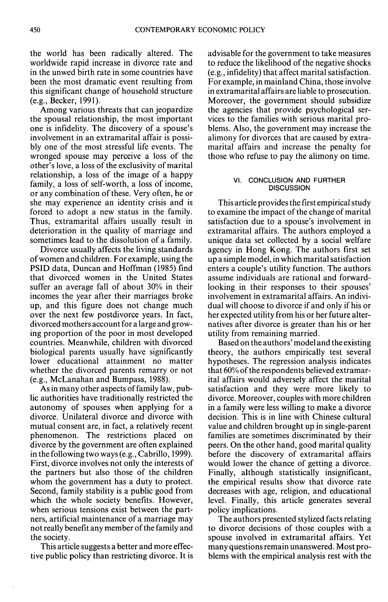the world has been radically altered. The worldwide rapid increase in divorce rate and in the unwed birth rate in some countries have been the most dramatic event resulting from this significant change of household structure (e.g., Becker, 1991).

Among various threats that can jeopardize the spousal relationship, the most important one is infidelity. The discovery of a spouse's involvement in an extramarital affair is possibly one of the most stressful life events. The wronged spouse may perceive a loss of the other's love, a loss of the exclusivity of marital relationship, a loss of the image of a happy family, a loss of self-worth, a loss of income, or any combination of these. Very often, he or she may experience an identity crisis and is forced to adopt a new status in the family. Thus, extramarital affairs usually result in deterioration in the quality of marriage and sometimes lead to the dissolution of a family.

Divorce usually affects the living standards of women and children. For example, using the PSID data, Duncan and Hoffman (1985) find that divorced women in the United States suffer an average fall of about 30% in their incomes the year after their marriages broke up, and this figure does not change much over the next few postdivorce years. In fact, divorced mothers account for a large and growing proportion of the poor in most developed countries. Meanwhile, children with divorced biological parents usually have significantly lower educational attainment no matter whether the divorced parents remarry or not (e.g., McLanahan and Bumpass, 1988).

As in many other aspects of family law, public authorities have traditionally restricted the autonomy of spouses when applying for a divorce. Unilateral divorce and divorce with mutual consent are, in fact, a relatively recent phenomenon. The restrictions placed on divorce by the government are often explained in the following two ways (e.g., Cabrillo, 1999). First, divorce involves not only the interests of the partners but also those of the children whom the government has a duty to protect. Second, family stability is a public good from which the whole society benefits. However, when serious tensions exist between the partners, artificial maintenance of a marriage may not really benefit any member of the family and the society.

This article suggests a better and more effective public policy than restricting divorce. It is advisable for the government to take measures to reduce the likelihood of the negative shocks (e.g., infidelity) that affect marital satisfaction. For example, in mainland China, those involve in extramarital affairs are liable to prosecution. Moreover, the government should subsidize the agencies that provide psychological services to the families with serious marital problems. Also, the government may increase the alimony for divorces that are caused by extramarital affairs and increase the penalty for those who refuse to pay the alimony on time.

### VI. CONCLUSION AND FURTHER **DISCUSSION**

This article provides the first empirical study to examine the impact of the change of marital satisfaction due to a spouse's involvement in extramarital affairs. The authors employed a unique data set collected by a social welfare agency in Hong Kong. The authors first set up a simple model, in which marital satisfaction enters a couple's utility function. The authors assume individuals are rational and forwardlooking in their responses to their spouses' involvement in extramarital affairs. An individual will choose to divorce if and only if his or her expected utility from his or her future alternatives after divorce is greater than his or her utility from remaining married.

Based on the authors' model and the existing theory, the authors empirically test several hypotheses. The regression analysis indicates that 60% of the respondents believed extramarital affairs would adversely affect the marital satisfaction and they were more likely to divorce. Moreover, couples with more children in a family were less willing to make a divorce decision. This is in line with Chinese cultural value and children brought up in single-parent families are sometimes discriminated by their peers. On the other hand, good marital quality before the discovery of extramarital affairs would lower the chance of getting a divorce. Finally, although statistically insignificant, the empirical results show that divorce rate decreases with age, religion, and educational level. Finally, this article generates several policy implications.

The authors presented stylized facts relating to divorce decisions of those couples with a spouse involved in extramarital affairs. Yet many questions remain unanswered. Most problems with the empirical analysis rest with the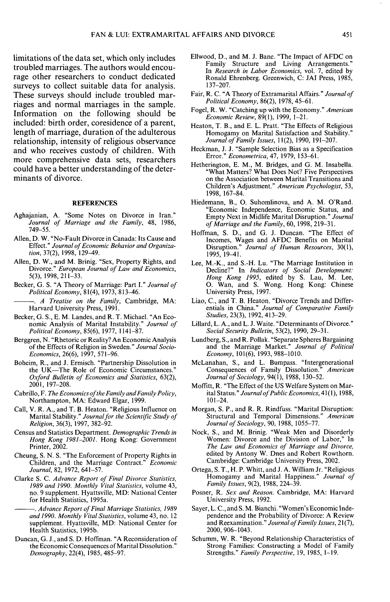limitations of the data set, which only includes troubled marriages. The authors would encourage other researchers to conduct dedicated surveys to collect suitable data for analysis. These surveys should include troubled marriages and normal marriages in the sample. Information on the following should be included: birth order, coresidence of a parent, length of marriage, duration of the adulterous relationship, intensity of religious observance and who receives custody of children. With more comprehensive data sets, researchers could have a better understanding of the determinants of divorce.

### **REFERENCES**

- Aghajanian, A. "Some Notes on Divorce in Iran." *Journal of Marriage and the Family,* 48, 1986, 749-55.
- Allen, D. W. "No-Fault Divorce in Canada: Its Cause and Effect." *Journal of Economic Behavior and Organiza-*
- Allen, D. W., and M. Brinig. "Sex, Property Rights, and Allen, D. W., and M. Bring.  $SCA$ , Property Rights, and  $D$ . Diverse  $\frac{n}{2}$  Equation Divorce." *European Journal of Law and Economics,* 5(3), 1998, 211-33.<br>Becker, G. S. "A Theory of Marriage: Part I." Journal of
- Political Economy, 81(4), 1973, 813-46.

*A Treatise on the Family*, Cambridge, MA: Harvard University Press, 1991.

- Becker, G. S., E. M. Landes, and R. T. Michael. "An Economic Analysis of Marital Instability." Journal of Political Economy, 85(6), 1977, 1141-87.
- **Berggren, N. "Rhetoric or Reality? An Economic Analysis** of the Effects of Religion in Sweden." Journal Socio-Economics, 26(6), 1997, 571-96.
- Boheim, R., and J. Ermisch. "Partnership Dissolution in the UK-The Role of Economic Circumstances.' Oxford Bulletin of Economics and Statistics, 63(2), *Oxford Bulletin of Economics and Statistics,* 63(2),
- Cabrillo, F. The Economics of the Family and Family Policy, Northampton, MA: Edward Elgar, 1999.<br>Call, V. R. A., and T. B. Heaton. "Religious Influence on
- Marital Stability." Journal for the Scientific Study of Religion, 36(3), 1997, 382-92.
- Census and Statistics Department. *Demographic Trends in Hong Kong 1981-2001*. Hong Kong: Government Printer, 2002.
- Cheung, S. N. S. "The Enforcement of Property Rights in Children, and the Marriage Contract." Economic Journal, 82, 1972, 641-57.
- Clarke S. C. Advance Report of Final Divorce Statistics, 1989 and 1990. Monthly Vital Statistics, volume 43, no. 9 supplement. Hyattsville, MD: National Center<br>for Health Statistics, 1995a.

*Advance Report of Final Marriage Statistics, 1989.* and 1990. Monthly Vital Statistics, volume 43, no. 12 supplement. Hyattsville, MD: National Center for . *Advance Report of Final Marriage Statistics, 1989*

Duncan, G. J., and S. D. Hoffman. "A Reconsideration of the Economic Consequences of Marital Dissolution.' Demography, 22(4), 1985, 485-97.

- Ellwood, D., and M. J. Bane. "The Impact of AFDC on Family Structure and Living Arrangements." In *Research in Labor Economics,* vol. 7, edited by Ronald Ehrenberg. Greenwich, C: JAI Press, 1985, 137-207.
- Fair, R. C. "A Theory of Extramarital Affairs." *Journal of Political Economy,* 86(2), 1978, 45-61.
- Fogel, R. W. "Catching up with the Economy." *American Economic Review,* 89(1), 1999, 1-21.
- Heaton, T. B., and E. L. Pratt. "The Effects of Religious Homogamy on Marital Satisfaction and Stability." *Journal of Family Issues,* 11(2), 1990, 191-207.
- Heckman, J. J. "Sample Selection Bias as a Specification Error." *Econometrica,* 47, 1979, 153-61.
- Hetherington, E. M., M. Bridges, and G. M. Insabella. "What Matters? What Does Not? Five Perspectives on the Association between Marital Transitions and Children's Adjustment." *American Psychologist,* 53, 1998, 167-84.
- Hiedemann, B., O. Suhomlinova, and A. M. O'Rand. "Economic Independence, Economic Status, and Empty Next in Midlife Marital Disruption." *Journal of Marriage and the Family,* 60, 1998, 219-31.
- Hoffman, S. D., and G. J. Duncan. "The Effect of Incomes, Wages and AFDC Benefits on Marital Disruption." *Journal of Human Resources,* 30(1), 1995, 19-41.
- Lee, M.-K., and S.-H. Lu. "The Marriage Institution in Decline?" In *Indicators of Social Development: Hong Kong 1995,* edited by S. Lau, M. Lee, O. Wan, and S. Wong. Hong Kong: Chinese University Press, 1997.
- Liao, C, and T. B. Heaton. "Divorce Trends and Differentials in China." *Journal of Comparative Family Studies, 2^(y),\992,An-29.*
- Lillard, L. A., and L. J. Waite. "Determinants of Divorce." *Social Security Bulletin,* 53(2), 1990, 29-31.
- Lundberg, S., and R. Pollak. "Separate Spheres Bargaining and the Marriage Market." *Journal of Political Economy,* 101(6), 1993, 988-1010.
- McLanahan, S., and L. Bumpass. "Intergenerational Consequences of Family Dissolution." *American Journal of Sociology,* 94(1), 1988, 130-52.
- Moffitt, R. "The Effect of the US Welfare System on Marital Status." Journal of Public Economics, 41(1), 1988, 101-24.
- Morgan, S. P., and R. R. Rindfuss. "Marital Disruption: Structural and Temporal Dimensions." *American Journal of Sociology,* 90, 1988, 1055-77.
- Nock, S., and M. Brinig. "Weak Men and Disorderly Women: Divorce and the Division of Labor," In *The Law and Economics of Marriage and Divorce,* edited by Antony W. Dnes and Robert Rowthorn. Cambridge: Cambridge University Press, 2002.
- Ortega, S. T., H. P. Whitt, and J. A. William Jr. "Religious Homogamy and Marital Happiness." *Journal of Family Issues,* 9(2), 1988, 224-39.
- Posner, R. *Sex and Reason.* Cambridge, MA: Harvard University Press, 1992.
- Sayer, L. C, and S. M. Bianchi. "Women's Economic Independence and the Probability of Divorce: A Review and Reexamination." *Journal of Family Issues,* 21(7), 2000, 906-1043.
- Schumm, W. R. "Beyond Relationship Characteristics of Strong Families: Constructing a Model of Family Strengths." *Family Perspective,* 19, 1985, 1-19.